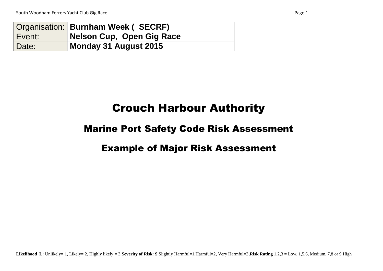|        | Organisation:   Burnham Week (SECRF) |
|--------|--------------------------------------|
| Event: | Nelson Cup, Open Gig Race            |
| Date:  | Monday 31 August 2015                |

## Crouch Harbour Authority

## Marine Port Safety Code Risk Assessment

## Example of Major Risk Assessment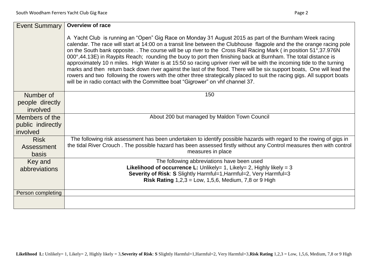| <b>Event Summary</b> | <b>Overview of race</b>                                                                                                                                                                                                                                                                                                                                                                                                                                                                                                                                                                                                                                                                                                                                                                                                                                                                                                                 |
|----------------------|-----------------------------------------------------------------------------------------------------------------------------------------------------------------------------------------------------------------------------------------------------------------------------------------------------------------------------------------------------------------------------------------------------------------------------------------------------------------------------------------------------------------------------------------------------------------------------------------------------------------------------------------------------------------------------------------------------------------------------------------------------------------------------------------------------------------------------------------------------------------------------------------------------------------------------------------|
|                      | A Yacht Club is running an "Open" Gig Race on Monday 31 August 2015 as part of the Burnham Week racing<br>calendar. The race will start at 14:00 on a transit line between the Clubhouse flagpole and the the orange racing pole<br>on the South bank opposite. The course will be up river to the Cross Rail Racing Mark (in position 51°,37.976N<br>000°,44.13E) in Raypits Reach; rounding the buoy to port then finishing back at Burnham. The total distance is<br>approximately 10 n miles. High Water is at 15:50 so racing upriver river will be with the incoming tide to the turning<br>marks and then return back down river against the last of the flood. There will be six support boats, One will lead the<br>rowers and two following the rowers with the other three strategically placed to suit the racing gigs. All support boats<br>will be in radio contact with the Committee boat "Gigrower" on vhf channel 37. |
| Number of            | 150                                                                                                                                                                                                                                                                                                                                                                                                                                                                                                                                                                                                                                                                                                                                                                                                                                                                                                                                     |
| people directly      |                                                                                                                                                                                                                                                                                                                                                                                                                                                                                                                                                                                                                                                                                                                                                                                                                                                                                                                                         |
| involved             |                                                                                                                                                                                                                                                                                                                                                                                                                                                                                                                                                                                                                                                                                                                                                                                                                                                                                                                                         |
| Members of the       | About 200 but managed by Maldon Town Council                                                                                                                                                                                                                                                                                                                                                                                                                                                                                                                                                                                                                                                                                                                                                                                                                                                                                            |
| public indirectly    |                                                                                                                                                                                                                                                                                                                                                                                                                                                                                                                                                                                                                                                                                                                                                                                                                                                                                                                                         |
| involved             |                                                                                                                                                                                                                                                                                                                                                                                                                                                                                                                                                                                                                                                                                                                                                                                                                                                                                                                                         |
| <b>Risk</b>          | The following risk assessment has been undertaken to identify possible hazards with regard to the rowing of gigs in                                                                                                                                                                                                                                                                                                                                                                                                                                                                                                                                                                                                                                                                                                                                                                                                                     |
| Assessment           | the tidal River Crouch. The possible hazard has been assessed firstly without any Control measures then with control                                                                                                                                                                                                                                                                                                                                                                                                                                                                                                                                                                                                                                                                                                                                                                                                                    |
| basis                | measures in place                                                                                                                                                                                                                                                                                                                                                                                                                                                                                                                                                                                                                                                                                                                                                                                                                                                                                                                       |
| Key and              | The following abbreviations have been used                                                                                                                                                                                                                                                                                                                                                                                                                                                                                                                                                                                                                                                                                                                                                                                                                                                                                              |
| abbreviations        | <b>Likelihood of occurrence L:</b> Unlikely= 1, Likely= 2, Highly likely = 3                                                                                                                                                                                                                                                                                                                                                                                                                                                                                                                                                                                                                                                                                                                                                                                                                                                            |
|                      | Severity of Risk: S Slightly Harmful=1, Harmful=2, Very Harmful=3                                                                                                                                                                                                                                                                                                                                                                                                                                                                                                                                                                                                                                                                                                                                                                                                                                                                       |
|                      | <b>Risk Rating 1,2,3 = Low, 1,5,6, Medium, 7,8 or 9 High</b>                                                                                                                                                                                                                                                                                                                                                                                                                                                                                                                                                                                                                                                                                                                                                                                                                                                                            |
| Person completing    |                                                                                                                                                                                                                                                                                                                                                                                                                                                                                                                                                                                                                                                                                                                                                                                                                                                                                                                                         |
|                      |                                                                                                                                                                                                                                                                                                                                                                                                                                                                                                                                                                                                                                                                                                                                                                                                                                                                                                                                         |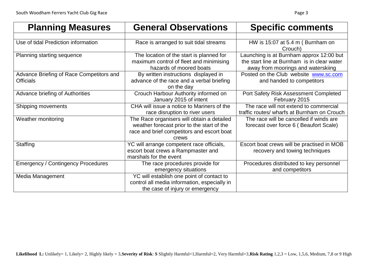| <b>Planning Measures</b>                                     | <b>General Observations</b>                                                                                                                     | <b>Specific comments</b>                                                                                                      |  |  |  |  |
|--------------------------------------------------------------|-------------------------------------------------------------------------------------------------------------------------------------------------|-------------------------------------------------------------------------------------------------------------------------------|--|--|--|--|
|                                                              |                                                                                                                                                 |                                                                                                                               |  |  |  |  |
| Use of tidal Prediction information                          | Race is arranged to suit tidal streams                                                                                                          | HW is 15:07 at 5.4 m (Burnham on<br>Crouch)                                                                                   |  |  |  |  |
| <b>Planning starting sequence</b>                            | The location of the start is planned for<br>maximum control of fleet and minimising<br>hazards of moored boats                                  | Launching is at Burnham approx 12:00 but<br>the start line at Burnham is in clear water<br>away from moorings and waterskiing |  |  |  |  |
| Advance Briefing of Race Competitors and<br><b>Officials</b> | By written instructions displayed in<br>advance of the race and a verbal briefing<br>on the day                                                 | Posted on the Club website www.sc.com<br>and handed to competitors                                                            |  |  |  |  |
| Advance briefing of Authorities                              | Crouch Harbour Authority informed on<br>January 2015 of intent                                                                                  | Port Safety Risk Assessment Completed<br>February 2015                                                                        |  |  |  |  |
| Shipping movements                                           | CHA will issue a notice to Mariners of the<br>race disruption to river users                                                                    | The race will not extend to commercial<br>traffic routes/ wharfs at Burnham on Crouch                                         |  |  |  |  |
| Weather monitoring                                           | The Race organisers will obtain a detailed<br>weather forecast prior to the start of the<br>race and brief competitors and escort boat<br>crews | The race will be cancelled if winds are<br>forecast over force 6 (Beaufort Scale)                                             |  |  |  |  |
| <b>Staffing</b>                                              | YC will arrange competent race officials,<br>escort boat crews a Rampmaster and<br>marshals for the event                                       | Escort boat crews will be practised in MOB<br>recovery and towing techniques                                                  |  |  |  |  |
| <b>Emergency / Contingency Procedures</b>                    | The race procedures provide for<br>emergency situations                                                                                         | Procedures distributed to key personnel<br>and competitors                                                                    |  |  |  |  |
| Media Management                                             | YC will establish one point of contact to<br>control all media information, especially in<br>the case of injury or emergency                    |                                                                                                                               |  |  |  |  |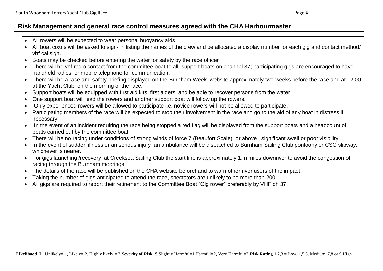- All rowers will be expected to wear personal buoyancy aids
- All boat coxns will be asked to sign- in listing the names of the crew and be allocated a display number for each gig and contact method/ vhf callsign.
- Boats may be checked before entering the water for safety by the race officer
- There will be vhf radio contact from the committee boat to all support boats on channel 37; participating gigs are encouraged to have handheld radios or mobile telephone for communication.
- There will be a race and safety briefing displayed on the Burnham Week website approximately two weeks before the race and at 12:00 at the Yacht Club on the morning of the race.
- Support boats will be equipped with first aid kits, first aiders and be able to recover persons from the water
- One support boat will lead the rowers and another support boat will follow up the rowers.
- Only experienced rowers will be allowed to participate i.e. novice rowers will not be allowed to participate.
- Participating members of the race will be expected to stop their involvement in the race and go to the aid of any boat in distress if necessary.
- In the event of an incident requiring the race being stopped a red flag will be displayed from the support boats and a headcount of boats carried out by the committee boat.
- There will be no racing under conditions of strong winds of force 7 (Beaufort Scale) or above , significant swell or poor visibility.
- In the event of sudden illness or an serious injury an ambulance will be dispatched to Burnham Sailing Club pontoony or CSC slipway. whichever is nearer.
- For gigs launching /recovery at Creeksea Sailing Club the start line is approximately 1. n miles downriver to avoid the congestion of racing through the Burnham moorings.
- The details of the race will be published on the CHA website beforehand to warn other river users of the impact
- Taking the number of gigs anticipated to attend the race, spectators are unlikely to be more than 200.
- All gigs are required to report their retirement to the Committee Boat "Gig rower" preferably by VHF ch 37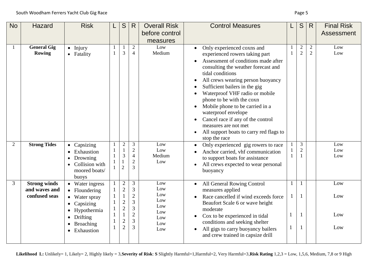| <b>No</b> | Hazard                                                | <b>Risk</b>                                                                                  | S                                                                                | R                                                          | <b>Overall Risk</b><br>before control<br>measures | <b>Control Measures</b>                                                                                                                                                                                                                                                                                                                                                                                                                                                                |    | S                                | $\mathsf{R}$                     | <b>Final Risk</b><br>Assessment |
|-----------|-------------------------------------------------------|----------------------------------------------------------------------------------------------|----------------------------------------------------------------------------------|------------------------------------------------------------|---------------------------------------------------|----------------------------------------------------------------------------------------------------------------------------------------------------------------------------------------------------------------------------------------------------------------------------------------------------------------------------------------------------------------------------------------------------------------------------------------------------------------------------------------|----|----------------------------------|----------------------------------|---------------------------------|
|           | <b>General Gig</b><br><b>Rowing</b>                   | $\bullet$ Injury<br>• Fatality                                                               | $\overline{3}$                                                                   | $\overline{2}$<br>$\overline{4}$                           | Low<br>Medium                                     | Only experienced coxns and<br>experienced rowers taking part<br>Assessment of conditions made after<br>consulting the weather forecast and<br>tidal conditions<br>All crews wearing person buoyancy<br>Sufficient bailers in the gig<br>Waterproof VHF radio or mobile<br>phone to be with the coxn<br>Mobile phone to be carried in a<br>waterproof envelope<br>Cancel race if any of the control<br>measures are not met<br>All support boats to carry red flags to<br>stop the race |    | $\sqrt{2}$<br>$\overline{2}$     | $\overline{2}$<br>$\overline{2}$ | Low<br>Low                      |
| 2         | <b>Strong Tides</b>                                   | Capsizing<br>$\bullet$<br>Exhaustion<br>Drowning<br>Collision with<br>moored boats/<br>buoys | $\overline{2}$<br>$\mathbf{1}$<br>$\mathfrak{Z}$<br>$\overline{2}$               | 3<br>$\overline{2}$<br>$\overline{4}$<br>$\mathbf{2}$<br>3 | Low<br>Low<br>Medium<br>Low                       | Only experienced gig rowers to race<br>Anchor carried, vhf communication<br>to support boats for assistance<br>All crews expected to wear personal<br>buoyancy                                                                                                                                                                                                                                                                                                                         |    | $\mathfrak{Z}$<br>$\overline{2}$ |                                  | Low<br>Low<br>Low               |
| 3         | <b>Strong winds</b><br>and waves and<br>confused seas | • Water ingress<br>• Floundering<br>Water spray<br>Capsizing                                 | $\overline{2}$<br>$\sqrt{2}$<br>$\mathbf{1}$<br>$\overline{2}$<br>$\overline{c}$ | 3<br>3<br>$\overline{2}$<br>3<br>3                         | Low<br>Low<br>Low<br>Low<br>Low                   | All General Rowing Control<br>measures applied<br>Race cancelled if wind exceeds force<br>Beaufort Scale 6 or wave height<br>moderate                                                                                                                                                                                                                                                                                                                                                  | -1 | 1                                |                                  | Low<br>Low                      |
|           |                                                       | Hypothermia<br>Drifting<br>$\bullet$<br>Broaching<br>Exhaustion                              | $\mathbf{1}$<br>$\overline{c}$<br>$\overline{2}$                                 | $\overline{2}$<br>$\mathfrak{Z}$<br>3                      | Low<br>Low<br>Low<br>Low                          | Cox to be experienced in tidal<br>conditions and seeking shelter<br>All gigs to carry buoyancy bailers<br>and crew trained in capsize drill                                                                                                                                                                                                                                                                                                                                            |    |                                  |                                  | Low<br>Low                      |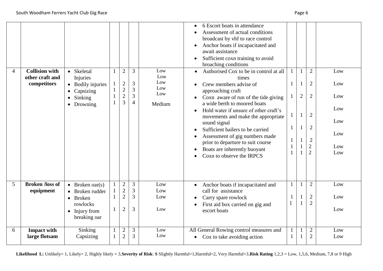| 4 | <b>Collision with</b><br>other craft and<br>competitors | • Skeletal<br>Injuries<br>• Bodily injuries<br>Capsizing<br>$\bullet$<br>Sinking<br>$\bullet$<br>Drowning<br>$\bullet$ | $\mathbf{1}$<br>$\mathbf{1}$ | $\overline{2}$<br>$\overline{c}$<br>$\overline{2}$<br>$\overline{2}$<br>$\overline{3}$ | $\overline{3}$<br>$\mathfrak{Z}$<br>$\overline{3}$<br>$\overline{3}$<br>$\overline{4}$ | Low<br>Low<br>Low<br>Low<br>Low<br>Medium | 6 Escort boats in attendance<br>Assessment of actual conditions<br>broadcast by vhf to race control<br>Anchor boats if incapacitated and<br>await assistance<br>Sufficient coxn training to avoid<br>broaching conditions<br>Authorised Cox to be in control at all<br>times<br>Crew members advise of<br>approaching craft<br>Coxn aware of run of the tide giving<br>a wide berth to moored boats<br>Hold water if unsure of other craft's<br>movements and make the appropriate<br>sound signal<br>Sufficient bailers to be carried<br>$\bullet$<br>Assessment of gig numbers made<br>prior to departure to suit course<br>Boats are inherently buoyant<br>Coxn to observe the IRPCS | $\mathbf{1}$<br>1<br>1<br>$\mathbf{1}$<br>1 | 1<br>$\overline{2}$ | $\overline{2}$<br>$\mathbf{2}$<br>$\mathbf{2}$<br>$\overline{2}$<br>$\mathbf{2}$<br>$\overline{2}$<br>$\overline{2}$<br>$\overline{2}$ | Low<br>Low<br>Low<br>Low<br>Low<br>Low<br>Low<br>Low |
|---|---------------------------------------------------------|------------------------------------------------------------------------------------------------------------------------|------------------------------|----------------------------------------------------------------------------------------|----------------------------------------------------------------------------------------|-------------------------------------------|-----------------------------------------------------------------------------------------------------------------------------------------------------------------------------------------------------------------------------------------------------------------------------------------------------------------------------------------------------------------------------------------------------------------------------------------------------------------------------------------------------------------------------------------------------------------------------------------------------------------------------------------------------------------------------------------|---------------------------------------------|---------------------|----------------------------------------------------------------------------------------------------------------------------------------|------------------------------------------------------|
| 5 | <b>Broken /loss of</b><br>equipment                     | • Broken oar(s)<br>• Broken rudder<br>• Broken<br>rowlocks<br>$\bullet$ Injury from<br>breaking oar                    | $\mathbf{1}$<br>1            | $\sqrt{2}$<br>$\overline{2}$<br>$\overline{2}$<br>$\overline{2}$                       | 3<br>3<br>3<br>3                                                                       | Low<br>Low<br>Low<br>Low                  | Anchor boats if incapacitated and<br>call for assistance<br>Carry spare rowlock<br>First aid box carried on gig and<br>escort boats                                                                                                                                                                                                                                                                                                                                                                                                                                                                                                                                                     | $\mathbf{1}$                                |                     | $\overline{2}$<br>$\mathbf{2}$<br>$\overline{2}$                                                                                       | Low<br>Low<br>Low                                    |
| 6 | <b>Impact with</b><br>large flotsam                     | Sinking<br>Capsizing                                                                                                   |                              | $\overline{2}$<br>$\overline{2}$                                                       | 3<br>3                                                                                 | Low<br>Low                                | All General Rowing control measures and<br>Cox to take avoiding action<br>$\bullet$                                                                                                                                                                                                                                                                                                                                                                                                                                                                                                                                                                                                     |                                             |                     | $\mathbf{2}$<br>$\mathbf{2}$                                                                                                           | Low<br>Low                                           |